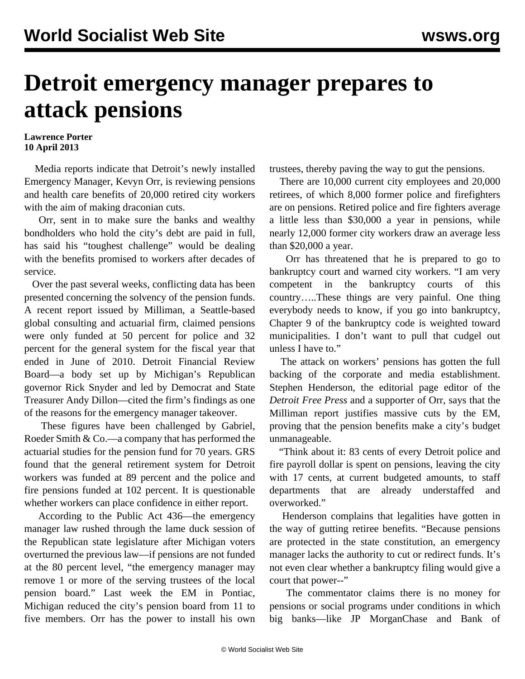## **Detroit emergency manager prepares to attack pensions**

## **Lawrence Porter 10 April 2013**

 Media reports indicate that Detroit's newly installed Emergency Manager, Kevyn Orr, is reviewing pensions and health care benefits of 20,000 retired city workers with the aim of making draconian cuts.

 Orr, sent in to make sure the banks and wealthy bondholders who hold the city's debt are paid in full, has said his "toughest challenge" would be dealing with the benefits promised to workers after decades of service.

 Over the past several weeks, conflicting data has been presented concerning the solvency of the pension funds. A recent report issued by Milliman, a Seattle-based global consulting and actuarial firm, claimed pensions were only funded at 50 percent for police and 32 percent for the general system for the fiscal year that ended in June of 2010. Detroit Financial Review Board—a body set up by Michigan's Republican governor Rick Snyder and led by Democrat and State Treasurer Andy Dillon—cited the firm's findings as one of the reasons for the emergency manager takeover.

 These figures have been challenged by Gabriel, Roeder Smith & Co.—a company that has performed the actuarial studies for the pension fund for 70 years. GRS found that the general retirement system for Detroit workers was funded at 89 percent and the police and fire pensions funded at 102 percent. It is questionable whether workers can place confidence in either report.

 According to the Public Act 436—the emergency manager law rushed through the lame duck session of the Republican state legislature after Michigan voters overturned the previous law—if pensions are not funded at the 80 percent level, "the emergency manager may remove 1 or more of the serving trustees of the local pension board." Last week the EM in Pontiac, Michigan reduced the city's pension board from 11 to five members. Orr has the power to install his own

trustees, thereby paving the way to gut the pensions.

 There are 10,000 current city employees and 20,000 retirees, of which 8,000 former police and firefighters are on pensions. Retired police and fire fighters average a little less than \$30,000 a year in pensions, while nearly 12,000 former city workers draw an average less than \$20,000 a year.

 Orr has threatened that he is prepared to go to bankruptcy court and warned city workers. "I am very competent in the bankruptcy courts of this country…..These things are very painful. One thing everybody needs to know, if you go into bankruptcy, Chapter 9 of the bankruptcy code is weighted toward municipalities. I don't want to pull that cudgel out unless I have to."

 The attack on workers' pensions has gotten the full backing of the corporate and media establishment. Stephen Henderson, the editorial page editor of the *Detroit Free Press* and a supporter of Orr, says that the Milliman report justifies massive cuts by the EM, proving that the pension benefits make a city's budget unmanageable.

 "Think about it: 83 cents of every Detroit police and fire payroll dollar is spent on pensions, leaving the city with 17 cents, at current budgeted amounts, to staff departments that are already understaffed and overworked."

 Henderson complains that legalities have gotten in the way of gutting retiree benefits. "Because pensions are protected in the state constitution, an emergency manager lacks the authority to cut or redirect funds. It's not even clear whether a bankruptcy filing would give a court that power--"

 The commentator claims there is no money for pensions or social programs under conditions in which big banks—like JP MorganChase and Bank of